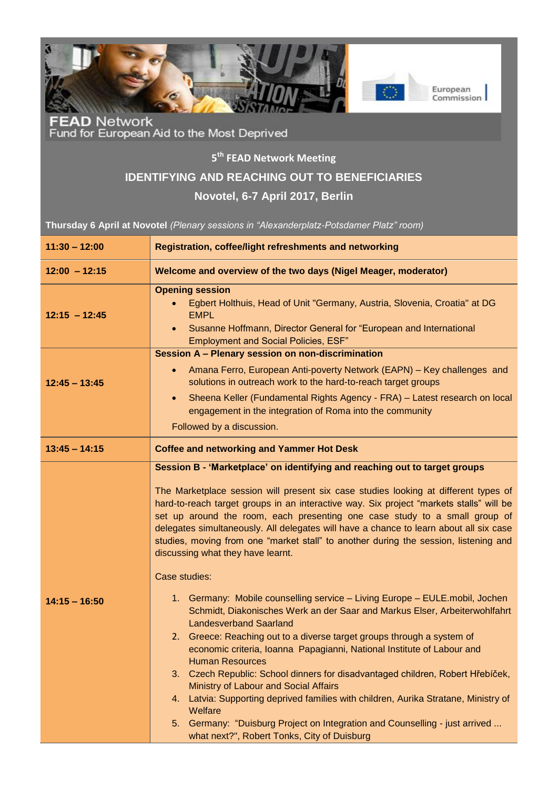

FEAD Network<br>Fund for European Aid to the Most Deprived

## **5 th FEAD Network Meeting**

## **IDENTIFYING AND REACHING OUT TO BENEFICIARIES**

## **Novotel, 6-7 April 2017, Berlin**

**Thursday 6 April at Novotel** *(Plenary sessions in "Alexanderplatz-Potsdamer Platz" room)*

| $11:30 - 12:00$ | <b>Registration, coffee/light refreshments and networking</b>                                                                                                                                                                                                                                                                                                                                                                                                                                                                                                                                                                                                                                                                                        |
|-----------------|------------------------------------------------------------------------------------------------------------------------------------------------------------------------------------------------------------------------------------------------------------------------------------------------------------------------------------------------------------------------------------------------------------------------------------------------------------------------------------------------------------------------------------------------------------------------------------------------------------------------------------------------------------------------------------------------------------------------------------------------------|
| $12:00 - 12:15$ | Welcome and overview of the two days (Nigel Meager, moderator)                                                                                                                                                                                                                                                                                                                                                                                                                                                                                                                                                                                                                                                                                       |
| $12:15 - 12:45$ | <b>Opening session</b><br>Egbert Holthuis, Head of Unit "Germany, Austria, Slovenia, Croatia" at DG<br><b>EMPL</b><br>Susanne Hoffmann, Director General for "European and International<br>$\bullet$<br><b>Employment and Social Policies, ESF"</b>                                                                                                                                                                                                                                                                                                                                                                                                                                                                                                 |
| $12:45 - 13:45$ | Session A - Plenary session on non-discrimination<br>Amana Ferro, European Anti-poverty Network (EAPN) - Key challenges and<br>$\bullet$<br>solutions in outreach work to the hard-to-reach target groups<br>Sheena Keller (Fundamental Rights Agency - FRA) - Latest research on local<br>$\bullet$<br>engagement in the integration of Roma into the community<br>Followed by a discussion.                                                                                                                                                                                                                                                                                                                                                        |
| $13:45 - 14:15$ | <b>Coffee and networking and Yammer Hot Desk</b>                                                                                                                                                                                                                                                                                                                                                                                                                                                                                                                                                                                                                                                                                                     |
|                 | Session B - 'Marketplace' on identifying and reaching out to target groups<br>The Marketplace session will present six case studies looking at different types of<br>hard-to-reach target groups in an interactive way. Six project "markets stalls" will be<br>set up around the room, each presenting one case study to a small group of<br>delegates simultaneously. All delegates will have a chance to learn about all six case<br>studies, moving from one "market stall" to another during the session, listening and<br>discussing what they have learnt.                                                                                                                                                                                    |
| $14:15 - 16:50$ | Case studies:<br>1. Germany: Mobile counselling service - Living Europe - EULE.mobil, Jochen<br>Schmidt, Diakonisches Werk an der Saar and Markus Elser, Arbeiterwohlfahrt<br><b>Landesverband Saarland</b><br>2. Greece: Reaching out to a diverse target groups through a system of<br>economic criteria, Ioanna Papagianni, National Institute of Labour and<br><b>Human Resources</b><br>3. Czech Republic: School dinners for disadvantaged children, Robert Hřebíček,<br>Ministry of Labour and Social Affairs<br>4. Latvia: Supporting deprived families with children, Aurika Stratane, Ministry of<br>Welfare<br>5. Germany: "Duisburg Project on Integration and Counselling - just arrived<br>what next?", Robert Tonks, City of Duisburg |